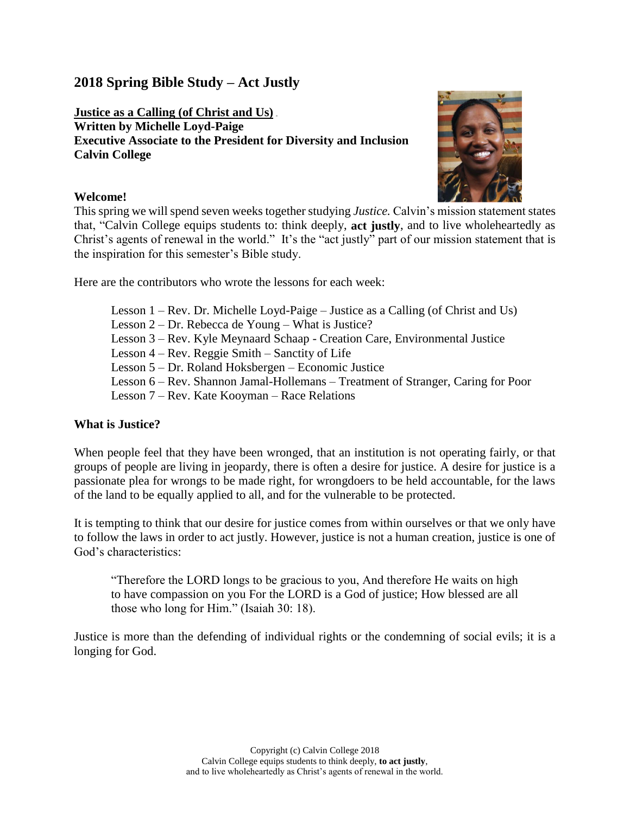# **2018 Spring Bible Study – Act Justly**

**Justice as a Calling (of Christ and Us) Written by Michelle Loyd-Paige Executive Associate to the President for Diversity and Inclusion Calvin College**



### **Welcome!**

This spring we will spend seven weeks together studying *Justice.* Calvin's mission statement states that, "Calvin College equips students to: think deeply, **act justly**, and to live wholeheartedly as Christ's agents of renewal in the world." It's the "act justly" part of our mission statement that is the inspiration for this semester's Bible study.

Here are the contributors who wrote the lessons for each week:

Lesson 1 – Rev. Dr. Michelle Loyd-Paige – Justice as a Calling (of Christ and Us) Lesson 2 – Dr. Rebecca de Young – What is Justice? Lesson 3 – Rev. Kyle Meynaard Schaap - Creation Care, Environmental Justice Lesson 4 – Rev. Reggie Smith – Sanctity of Life Lesson 5 – Dr. Roland Hoksbergen – Economic Justice Lesson 6 – Rev. Shannon Jamal-Hollemans – Treatment of Stranger, Caring for Poor Lesson 7 – Rev. Kate Kooyman – Race Relations

# **What is Justice?**

When people feel that they have been wronged, that an institution is not operating fairly, or that groups of people are living in jeopardy, there is often a desire for justice. A desire for justice is a passionate plea for wrongs to be made right, for wrongdoers to be held accountable, for the laws of the land to be equally applied to all, and for the vulnerable to be protected.

It is tempting to think that our desire for justice comes from within ourselves or that we only have to follow the laws in order to act justly. However, justice is not a human creation, justice is one of God's characteristics:

"Therefore the LORD longs to be gracious to you, And therefore He waits on high to have compassion on you For the LORD is a God of justice; How blessed are all those who long for Him." (Isaiah 30: 18).

Justice is more than the defending of individual rights or the condemning of social evils; it is a longing for God.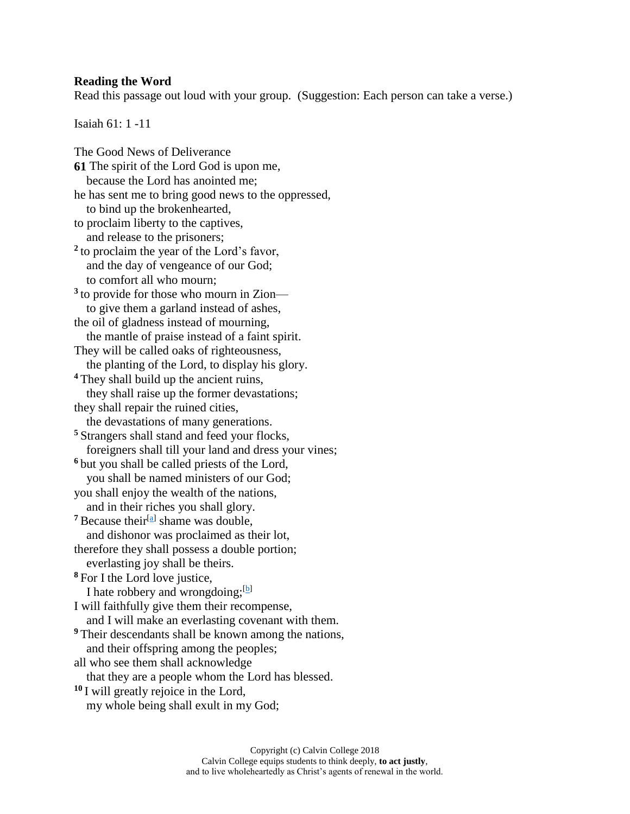#### **Reading the Word**

Read this passage out loud with your group. (Suggestion: Each person can take a verse.)

Isaiah 61: 1 -11

The Good News of Deliverance **61** The spirit of the Lord God is upon me, because the Lord has anointed me; he has sent me to bring good news to the oppressed, to bind up the brokenhearted, to proclaim liberty to the captives, and release to the prisoners; **2** to proclaim the year of the Lord's favor, and the day of vengeance of our God; to comfort all who mourn; <sup>3</sup> to provide for those who mourn in Zion to give them a garland instead of ashes, the oil of gladness instead of mourning, the mantle of praise instead of a faint spirit. They will be called oaks of righteousness, the planting of the Lord, to display his glory. **<sup>4</sup>** They shall build up the ancient ruins, they shall raise up the former devastations; they shall repair the ruined cities, the devastations of many generations. **<sup>5</sup>** Strangers shall stand and feed your flocks, foreigners shall till your land and dress your vines; **<sup>6</sup>** but you shall be called priests of the Lord, you shall be named ministers of our God; you shall enjoy the wealth of the nations, and in their riches you shall glory.  $7$  Because their<sup>[\[a\]](https://www.biblegateway.com/passage/?search=isaiah+61%3A1-11&version=NRSV#fen-NRSV-18851a)</sup> shame was double, and dishonor was proclaimed as their lot, therefore they shall possess a double portion; everlasting joy shall be theirs. **<sup>8</sup>** For I the Lord love justice, I hate robbery and wrongdoing;  $[b]$ I will faithfully give them their recompense, and I will make an everlasting covenant with them. **<sup>9</sup>** Their descendants shall be known among the nations, and their offspring among the peoples; all who see them shall acknowledge that they are a people whom the Lord has blessed. **<sup>10</sup>** I will greatly rejoice in the Lord, my whole being shall exult in my God;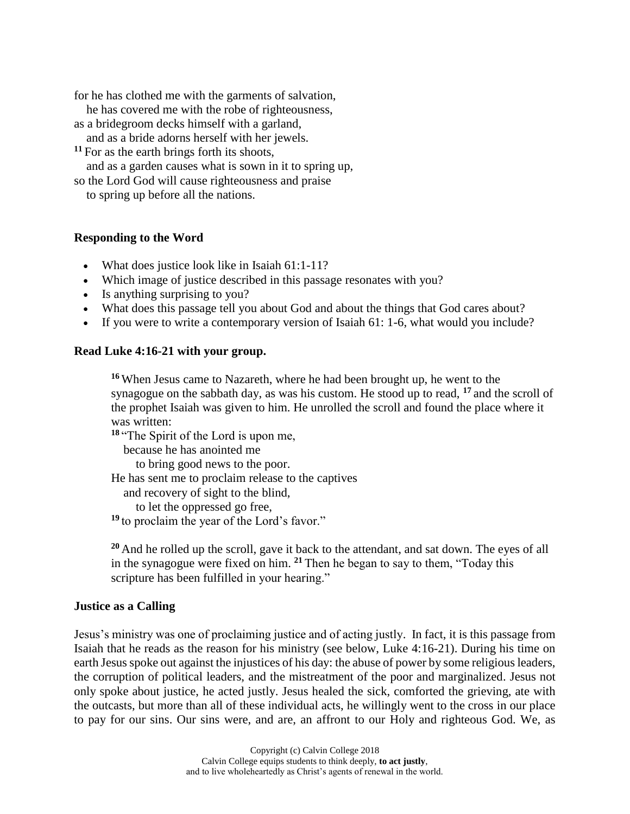for he has clothed me with the garments of salvation,

he has covered me with the robe of righteousness,

as a bridegroom decks himself with a garland,

and as a bride adorns herself with her jewels.

**<sup>11</sup>** For as the earth brings forth its shoots,

and as a garden causes what is sown in it to spring up,

so the Lord God will cause righteousness and praise

to spring up before all the nations.

### **Responding to the Word**

- What does justice look like in Isaiah 61:1-11?
- Which image of justice described in this passage resonates with you?
- Is anything surprising to you?
- What does this passage tell you about God and about the things that God cares about?
- If you were to write a contemporary version of Isaiah 61: 1-6, what would you include?

### **Read Luke 4:16-21 with your group.**

**<sup>16</sup>** When Jesus came to Nazareth, where he had been brought up, he went to the synagogue on the sabbath day, as was his custom. He stood up to read, **<sup>17</sup>** and the scroll of the prophet Isaiah was given to him. He unrolled the scroll and found the place where it was written:

**<sup>18</sup>** "The Spirit of the Lord is upon me,

because he has anointed me

to bring good news to the poor.

He has sent me to proclaim release to the captives

and recovery of sight to the blind,

to let the oppressed go free,

**<sup>19</sup>** to proclaim the year of the Lord's favor."

**<sup>20</sup>** And he rolled up the scroll, gave it back to the attendant, and sat down. The eyes of all in the synagogue were fixed on him. **<sup>21</sup>** Then he began to say to them, "Today this scripture has been fulfilled in your hearing."

#### **Justice as a Calling**

Jesus's ministry was one of proclaiming justice and of acting justly. In fact, it is this passage from Isaiah that he reads as the reason for his ministry (see below, Luke 4:16-21). During his time on earth Jesus spoke out against the injustices of his day: the abuse of power by some religious leaders, the corruption of political leaders, and the mistreatment of the poor and marginalized. Jesus not only spoke about justice, he acted justly. Jesus healed the sick, comforted the grieving, ate with the outcasts, but more than all of these individual acts, he willingly went to the cross in our place to pay for our sins. Our sins were, and are, an affront to our Holy and righteous God. We, as